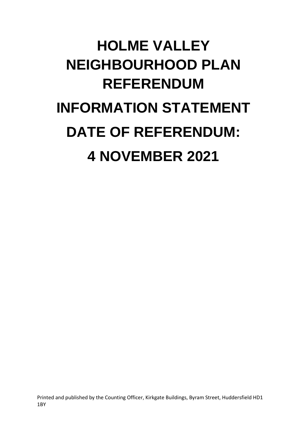## **HOLME VALLEY NEIGHBOURHOOD PLAN REFERENDUM INFORMATION STATEMENT DATE OF REFERENDUM: 4 NOVEMBER 2021**

Printed and published by the Counting Officer, Kirkgate Buildings, Byram Street, Huddersfield HD1 1BY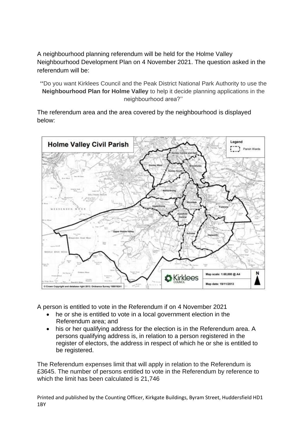A neighbourhood planning referendum will be held for the Holme Valley Neighbourhood Development Plan on 4 November 2021. The question asked in the referendum will be:

**''**Do you want Kirklees Council and the Peak District National Park Authority to use the **Neighbourhood Plan for Holme Valley** to help it decide planning applications in the neighbourhood area?''

The referendum area and the area covered by the neighbourhood is displayed below:



A person is entitled to vote in the Referendum if on 4 November 2021

- he or she is entitled to vote in a local government election in the Referendum area; and
- his or her qualifying address for the election is in the Referendum area. A persons qualifying address is, in relation to a person registered in the register of electors, the address in respect of which he or she is entitled to be registered.

The Referendum expenses limit that will apply in relation to the Referendum is £3645. The number of persons entitled to vote in the Referendum by reference to which the limit has been calculated is 21,746

Printed and published by the Counting Officer, Kirkgate Buildings, Byram Street, Huddersfield HD1 1BY